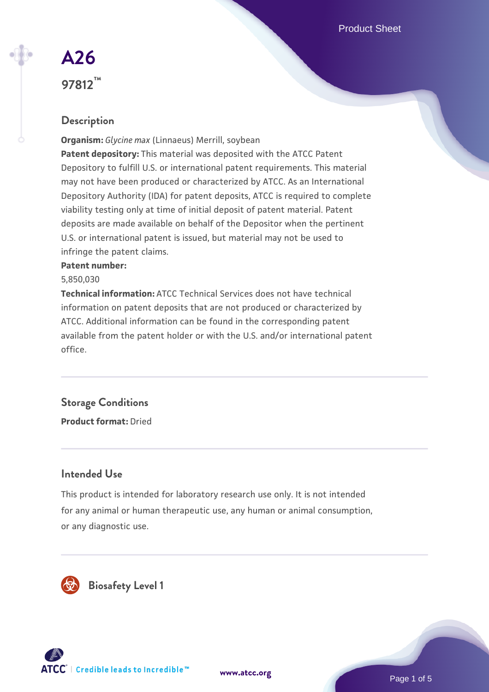Product Sheet

# **[A26](https://www.atcc.org/products/97812) 97812™**

## **Description**

**Organism:** *Glycine max* (Linnaeus) Merrill, soybean **Patent depository:** This material was deposited with the ATCC Patent Depository to fulfill U.S. or international patent requirements. This material may not have been produced or characterized by ATCC. As an International Depository Authority (IDA) for patent deposits, ATCC is required to complete viability testing only at time of initial deposit of patent material. Patent deposits are made available on behalf of the Depositor when the pertinent U.S. or international patent is issued, but material may not be used to infringe the patent claims.

#### **Patent number:**

#### 5,850,030

**Technical information:** ATCC Technical Services does not have technical information on patent deposits that are not produced or characterized by ATCC. Additional information can be found in the corresponding patent available from the patent holder or with the U.S. and/or international patent office.

# **Storage Conditions**

**Product format:** Dried

### **Intended Use**

This product is intended for laboratory research use only. It is not intended for any animal or human therapeutic use, any human or animal consumption, or any diagnostic use.





Page 1 of 5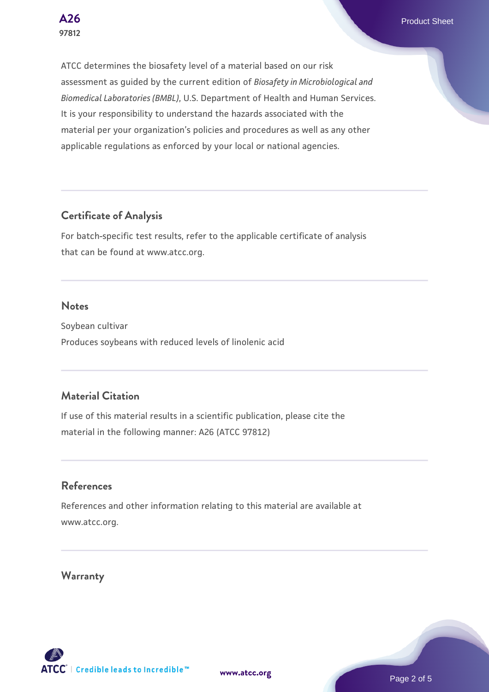**[A26](https://www.atcc.org/products/97812)** Product Sheet

ATCC determines the biosafety level of a material based on our risk assessment as guided by the current edition of *Biosafety in Microbiological and Biomedical Laboratories (BMBL)*, U.S. Department of Health and Human Services. It is your responsibility to understand the hazards associated with the material per your organization's policies and procedures as well as any other applicable regulations as enforced by your local or national agencies.

### **Certificate of Analysis**

For batch-specific test results, refer to the applicable certificate of analysis that can be found at www.atcc.org.

#### **Notes**

Soybean cultivar Produces soybeans with reduced levels of linolenic acid

### **Material Citation**

If use of this material results in a scientific publication, please cite the material in the following manner: A26 (ATCC 97812)

#### **References**

References and other information relating to this material are available at www.atcc.org.

### **Warranty**

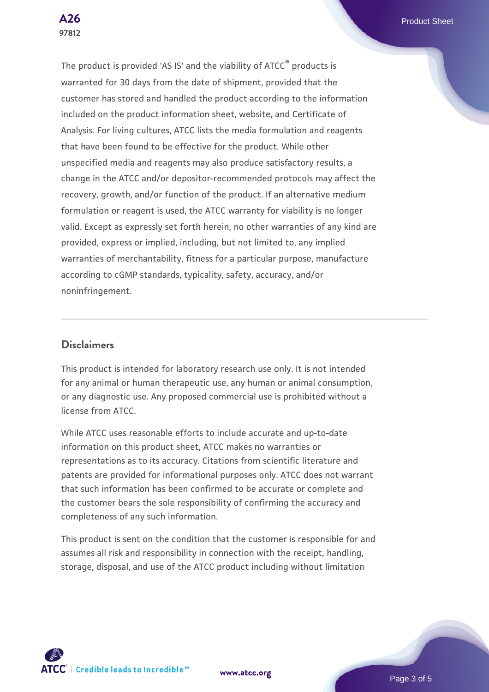**[A26](https://www.atcc.org/products/97812)** Product Sheet

The product is provided 'AS IS' and the viability of ATCC® products is warranted for 30 days from the date of shipment, provided that the customer has stored and handled the product according to the information included on the product information sheet, website, and Certificate of Analysis. For living cultures, ATCC lists the media formulation and reagents that have been found to be effective for the product. While other unspecified media and reagents may also produce satisfactory results, a change in the ATCC and/or depositor-recommended protocols may affect the recovery, growth, and/or function of the product. If an alternative medium formulation or reagent is used, the ATCC warranty for viability is no longer valid. Except as expressly set forth herein, no other warranties of any kind are provided, express or implied, including, but not limited to, any implied warranties of merchantability, fitness for a particular purpose, manufacture according to cGMP standards, typicality, safety, accuracy, and/or noninfringement.

#### **Disclaimers**

This product is intended for laboratory research use only. It is not intended for any animal or human therapeutic use, any human or animal consumption, or any diagnostic use. Any proposed commercial use is prohibited without a license from ATCC.

While ATCC uses reasonable efforts to include accurate and up-to-date information on this product sheet, ATCC makes no warranties or representations as to its accuracy. Citations from scientific literature and patents are provided for informational purposes only. ATCC does not warrant that such information has been confirmed to be accurate or complete and the customer bears the sole responsibility of confirming the accuracy and completeness of any such information.

This product is sent on the condition that the customer is responsible for and assumes all risk and responsibility in connection with the receipt, handling, storage, disposal, and use of the ATCC product including without limitation



**[www.atcc.org](http://www.atcc.org)**

Page 3 of 5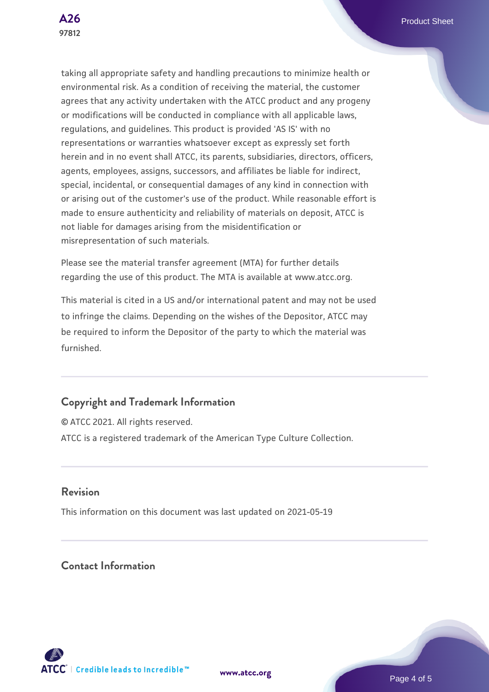taking all appropriate safety and handling precautions to minimize health or environmental risk. As a condition of receiving the material, the customer agrees that any activity undertaken with the ATCC product and any progeny or modifications will be conducted in compliance with all applicable laws, regulations, and guidelines. This product is provided 'AS IS' with no representations or warranties whatsoever except as expressly set forth herein and in no event shall ATCC, its parents, subsidiaries, directors, officers, agents, employees, assigns, successors, and affiliates be liable for indirect, special, incidental, or consequential damages of any kind in connection with or arising out of the customer's use of the product. While reasonable effort is made to ensure authenticity and reliability of materials on deposit, ATCC is not liable for damages arising from the misidentification or misrepresentation of such materials.

Please see the material transfer agreement (MTA) for further details regarding the use of this product. The MTA is available at www.atcc.org.

This material is cited in a US and/or international patent and may not be used to infringe the claims. Depending on the wishes of the Depositor, ATCC may be required to inform the Depositor of the party to which the material was furnished.

## **Copyright and Trademark Information**

© ATCC 2021. All rights reserved. ATCC is a registered trademark of the American Type Culture Collection.

### **Revision**

This information on this document was last updated on 2021-05-19

**Contact Information**